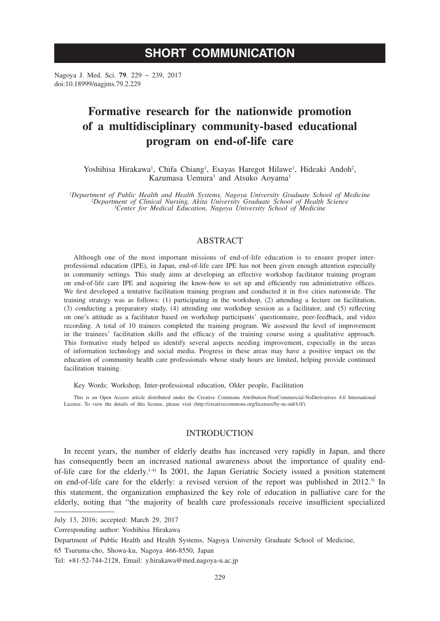# **SHORT COMMUNICATION**

Nagoya J. Med. Sci. **79**. 229 ~ 239, 2017 doi:10.18999/nagjms.79.2.229

# **Formative research for the nationwide promotion of a multidisciplinary community-based educational program on end-of-life care**

Yoshihisa Hirakawa<sup>1</sup>, Chifa Chiang<sup>1</sup>, Esayas Haregot Hilawe<sup>1</sup>, Hideaki Andoh<sup>2</sup>, Kazumasa Uemura<sup>3</sup> and Atsuko Aoyama<sup>1</sup>

*1 Department of Public Health and Health Systems, Nagoya University Graduate School of Medicine <sup>2</sup> Department of Clinical Nursing, Akita University Graduate School of Health Science <sup>3</sup> Center for Medical Education, Nagoya University School of Medicine*

# ABSTRACT

Although one of the most important missions of end-of-life education is to ensure proper interprofessional education (IPE), in Japan, end-of-life care IPE has not been given enough attention especially in community settings. This study aims at developing an effective workshop facilitator training program on end-of-life care IPE and acquiring the know-how to set up and efficiently run administrative offices. We first developed a tentative facilitation training program and conducted it in five cities nationwide. The training strategy was as follows: (1) participating in the workshop, (2) attending a lecture on facilitation, (3) conducting a preparatory study, (4) attending one workshop session as a facilitator, and (5) reflecting on one's attitude as a facilitator based on workshop participants' questionnaire, peer-feedback, and video recording. A total of 10 trainees completed the training program. We assessed the level of improvement in the trainees' facilitation skills and the efficacy of the training course using a qualitative approach. This formative study helped us identify several aspects needing improvement, especially in the areas of information technology and social media. Progress in these areas may have a positive impact on the education of community health care professionals whose study hours are limited, helping provide continued facilitation training.

Key Words: Workshop, Inter-professional education, Older people, Facilitation

This is an Open Access article distributed under the Creative Commons Attribution-NonCommercial-NoDerivatives 4.0 International License. To view the details of this license, please visit (http://creativecommons.org/licenses/by-nc-nd/4.0/).

# **INTRODUCTION**

In recent years, the number of elderly deaths has increased very rapidly in Japan, and there has consequently been an increased national awareness about the importance of quality endof-life care for the elderly.<sup>1-4)</sup> In 2001, the Japan Geriatric Society issued a position statement on end-of-life care for the elderly: a revised version of the report was published in  $2012$ .<sup>3)</sup> In this statement, the organization emphasized the key role of education in palliative care for the elderly, noting that "the majority of health care professionals receive insufficient specialized

July 13, 2016; accepted: March 29, 2017

Corresponding author: Yoshihisa Hirakawa

Department of Public Health and Health Systems, Nagoya University Graduate School of Medicine,

<sup>65</sup> Tsuruma-cho, Showa-ku, Nagoya 466-8550, Japan

Tel: +81-52-744-2128, Email: y.hirakawa@med.nagoya-u.ac.jp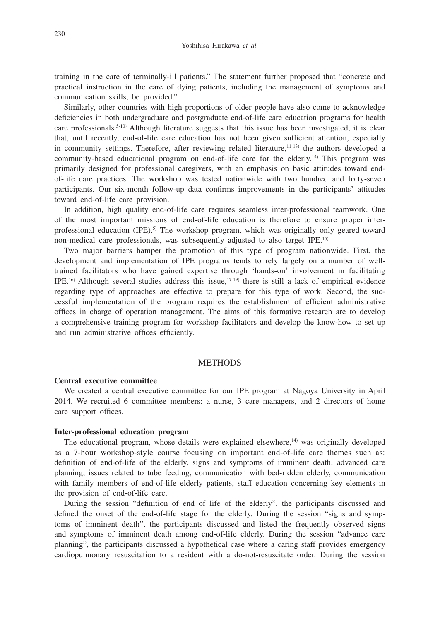training in the care of terminally-ill patients." The statement further proposed that "concrete and practical instruction in the care of dying patients, including the management of symptoms and communication skills, be provided."

Similarly, other countries with high proportions of older people have also come to acknowledge deficiencies in both undergraduate and postgraduate end-of-life care education programs for health care professionals.<sup>5-10)</sup> Although literature suggests that this issue has been investigated, it is clear that, until recently, end-of-life care education has not been given sufficient attention, especially in community settings. Therefore, after reviewing related literature,<sup>11-13)</sup> the authors developed a community-based educational program on end-of-life care for the elderly.14) This program was primarily designed for professional caregivers, with an emphasis on basic attitudes toward endof-life care practices. The workshop was tested nationwide with two hundred and forty-seven participants. Our six-month follow-up data confirms improvements in the participants' attitudes toward end-of-life care provision.

In addition, high quality end-of-life care requires seamless inter-professional teamwork. One of the most important missions of end-of-life education is therefore to ensure proper interprofessional education (IPE).5) The workshop program, which was originally only geared toward non-medical care professionals, was subsequently adjusted to also target IPE.15)

Two major barriers hamper the promotion of this type of program nationwide. First, the development and implementation of IPE programs tends to rely largely on a number of welltrained facilitators who have gained expertise through 'hands-on' involvement in facilitating IPE.16) Although several studies address this issue,17-19) there is still a lack of empirical evidence regarding type of approaches are effective to prepare for this type of work. Second, the successful implementation of the program requires the establishment of efficient administrative offices in charge of operation management. The aims of this formative research are to develop a comprehensive training program for workshop facilitators and develop the know-how to set up and run administrative offices efficiently.

#### **METHODS**

#### **Central executive committee**

We created a central executive committee for our IPE program at Nagoya University in April 2014. We recruited 6 committee members: a nurse, 3 care managers, and 2 directors of home care support offices.

#### **Inter-professional education program**

The educational program, whose details were explained elsewhere, $\frac{1}{4}$  was originally developed as a 7-hour workshop-style course focusing on important end-of-life care themes such as: definition of end-of-life of the elderly, signs and symptoms of imminent death, advanced care planning, issues related to tube feeding, communication with bed-ridden elderly, communication with family members of end-of-life elderly patients, staff education concerning key elements in the provision of end-of-life care.

During the session "definition of end of life of the elderly", the participants discussed and defined the onset of the end-of-life stage for the elderly. During the session "signs and symptoms of imminent death", the participants discussed and listed the frequently observed signs and symptoms of imminent death among end-of-life elderly. During the session "advance care planning", the participants discussed a hypothetical case where a caring staff provides emergency cardiopulmonary resuscitation to a resident with a do-not-resuscitate order. During the session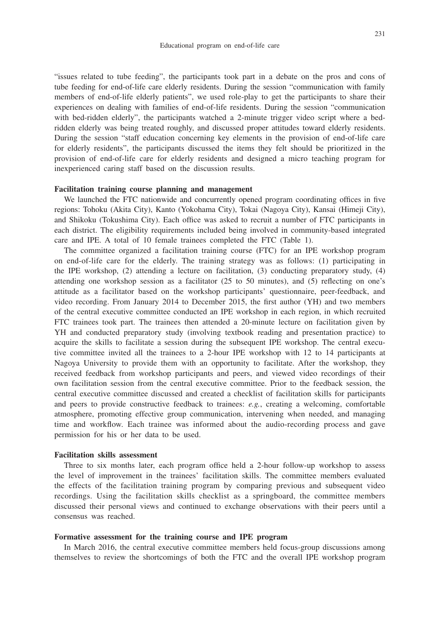"issues related to tube feeding", the participants took part in a debate on the pros and cons of tube feeding for end-of-life care elderly residents. During the session "communication with family members of end-of-life elderly patients", we used role-play to get the participants to share their experiences on dealing with families of end-of-life residents. During the session "communication with bed-ridden elderly", the participants watched a 2-minute trigger video script where a bedridden elderly was being treated roughly, and discussed proper attitudes toward elderly residents. During the session "staff education concerning key elements in the provision of end-of-life care for elderly residents", the participants discussed the items they felt should be prioritized in the provision of end-of-life care for elderly residents and designed a micro teaching program for inexperienced caring staff based on the discussion results.

## **Facilitation training course planning and management**

We launched the FTC nationwide and concurrently opened program coordinating offices in five regions: Tohoku (Akita City), Kanto (Yokohama City), Tokai (Nagoya City), Kansai (Himeji City), and Shikoku (Tokushima City). Each office was asked to recruit a number of FTC participants in each district. The eligibility requirements included being involved in community-based integrated care and IPE. A total of 10 female trainees completed the FTC (Table 1).

The committee organized a facilitation training course (FTC) for an IPE workshop program on end-of-life care for the elderly. The training strategy was as follows: (1) participating in the IPE workshop, (2) attending a lecture on facilitation, (3) conducting preparatory study, (4) attending one workshop session as a facilitator (25 to 50 minutes), and (5) reflecting on one's attitude as a facilitator based on the workshop participants' questionnaire, peer-feedback, and video recording. From January 2014 to December 2015, the first author (YH) and two members of the central executive committee conducted an IPE workshop in each region, in which recruited FTC trainees took part. The trainees then attended a 20-minute lecture on facilitation given by YH and conducted preparatory study (involving textbook reading and presentation practice) to acquire the skills to facilitate a session during the subsequent IPE workshop. The central executive committee invited all the trainees to a 2-hour IPE workshop with 12 to 14 participants at Nagoya University to provide them with an opportunity to facilitate. After the workshop, they received feedback from workshop participants and peers, and viewed video recordings of their own facilitation session from the central executive committee. Prior to the feedback session, the central executive committee discussed and created a checklist of facilitation skills for participants and peers to provide constructive feedback to trainees: *e.g.*, creating a welcoming, comfortable atmosphere, promoting effective group communication, intervening when needed, and managing time and workflow. Each trainee was informed about the audio-recording process and gave permission for his or her data to be used.

#### **Facilitation skills assessment**

Three to six months later, each program office held a 2-hour follow-up workshop to assess the level of improvement in the trainees' facilitation skills. The committee members evaluated the effects of the facilitation training program by comparing previous and subsequent video recordings. Using the facilitation skills checklist as a springboard, the committee members discussed their personal views and continued to exchange observations with their peers until a consensus was reached.

## **Formative assessment for the training course and IPE program**

In March 2016, the central executive committee members held focus-group discussions among themselves to review the shortcomings of both the FTC and the overall IPE workshop program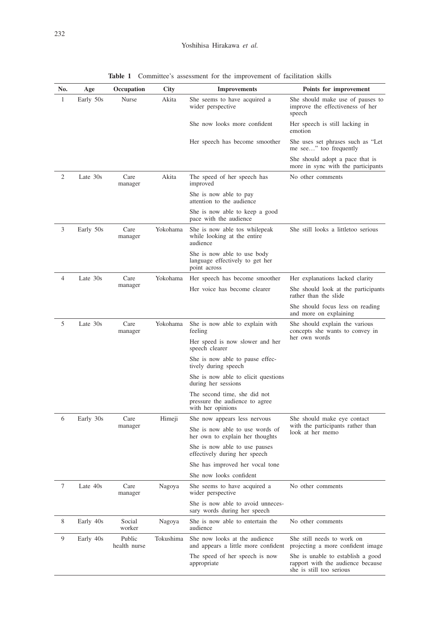| No. | Age       | Occupation             | City      | <b>Improvements</b>                                                                 | Points for improvement                                                                             |
|-----|-----------|------------------------|-----------|-------------------------------------------------------------------------------------|----------------------------------------------------------------------------------------------------|
| 1   | Early 50s | Nurse                  | Akita     | She seems to have acquired a<br>wider perspective                                   | She should make use of pauses to<br>improve the effectiveness of her<br>speech                     |
|     |           |                        |           | She now looks more confident                                                        | Her speech is still lacking in<br>emotion                                                          |
|     |           |                        |           | Her speech has become smoother                                                      | She uses set phrases such as "Let<br>me see" too frequently                                        |
|     |           |                        |           |                                                                                     | She should adopt a pace that is<br>more in sync with the participants                              |
| 2   | Late 30s  | Care<br>manager        | Akita     | The speed of her speech has<br>improved                                             | No other comments                                                                                  |
|     |           |                        |           | She is now able to pay<br>attention to the audience                                 |                                                                                                    |
|     |           |                        |           | She is now able to keep a good<br>pace with the audience                            |                                                                                                    |
| 3   | Early 50s | Care<br>manager        | Yokohama  | She is now able tos while peak<br>while looking at the entire<br>audience           | She still looks a littletoo serious                                                                |
|     |           |                        |           | She is now able to use body<br>language effectively to get her<br>point across      |                                                                                                    |
| 4   | Late 30s  | Care                   | Yokohama  | Her speech has become smoother                                                      | Her explanations lacked clarity                                                                    |
|     |           | manager                |           | Her voice has become clearer                                                        | She should look at the participants<br>rather than the slide                                       |
|     |           |                        |           |                                                                                     | She should focus less on reading<br>and more on explaining                                         |
| 5   | Late 30s  | Care<br>manager        | Yokohama  | She is now able to explain with<br>feeling                                          | She should explain the various<br>concepts she wants to convey in                                  |
|     |           |                        |           | Her speed is now slower and her<br>speech clearer                                   | her own words                                                                                      |
|     |           |                        |           | She is now able to pause effec-<br>tively during speech                             |                                                                                                    |
|     |           |                        |           | She is now able to elicit questions<br>during her sessions                          |                                                                                                    |
|     |           |                        |           | The second time, she did not<br>pressure the audience to agree<br>with her opinions |                                                                                                    |
| 6   | Early 30s | Care                   | Himeji    | She now appears less nervous                                                        | She should make eye contact                                                                        |
|     |           | manager                |           | She is now able to use words of<br>her own to explain her thoughts                  | with the participants rather than<br>look at her memo                                              |
|     |           |                        |           | She is now able to use pauses<br>effectively during her speech                      |                                                                                                    |
|     |           |                        |           | She has improved her vocal tone                                                     |                                                                                                    |
|     |           |                        |           | She now looks confident                                                             |                                                                                                    |
| 7   | Late 40s  | Care<br>manager        | Nagoya    | She seems to have acquired a<br>wider perspective                                   | No other comments                                                                                  |
|     |           |                        |           | She is now able to avoid unneces-<br>sary words during her speech                   |                                                                                                    |
| 8   | Early 40s | Social<br>worker       | Nagoya    | She is now able to entertain the<br>audience                                        | No other comments                                                                                  |
| 9   | Early 40s | Public<br>health nurse | Tokushima | She now looks at the audience<br>and appears a little more confident                | She still needs to work on<br>projecting a more confident image                                    |
|     |           |                        |           | The speed of her speech is now<br>appropriate                                       | She is unable to establish a good<br>rapport with the audience because<br>she is still too serious |

**Table 1** Committee's assessment for the improvement of facilitation skills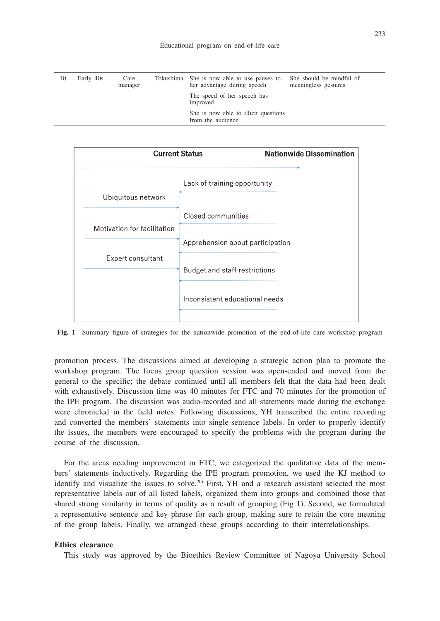| 10 | Early 40s | Care<br>manager | Tokushima She is now able to use pauses to<br>her advantage during speech | She should be mindful of<br>meaningless gestures |
|----|-----------|-----------------|---------------------------------------------------------------------------|--------------------------------------------------|
|    |           |                 | The speed of her speech has<br>improved                                   |                                                  |
|    |           |                 | She is now able to illicit questions<br>from the audience                 |                                                  |



**Fig. 1** Summary figure of strategies for the nationwide promotion of the end-of-life care workshop program

promotion process. The discussions aimed at developing a strategic action plan to promote the workshop program. The focus group question session was open-ended and moved from the general to the specific; the debate continued until all members felt that the data had been dealt with exhaustively. Discussion time was 40 minutes for FTC and 70 minutes for the promotion of the IPE program. The discussion was audio-recorded and all statements made during the exchange were chronicled in the field notes. Following discussions, YH transcribed the entire recording and converted the members' statements into single-sentence labels. In order to properly identify the issues, the members were encouraged to specify the problems with the program during the course of the discussion.

For the areas needing improvement in FTC, we categorized the qualitative data of the members' statements inductively. Regarding the IPE program promotion, we used the KJ method to identify and visualize the issues to solve.<sup>20)</sup> First, YH and a research assistant selected the most representative labels out of all listed labels, organized them into groups and combined those that shared strong similarity in terms of quality as a result of grouping (Fig 1). Second, we formulated a representative sentence and key phrase for each group, making sure to retain the core meaning of the group labels. Finally, we arranged these groups according to their interrelationships.

## **Ethics clearance**

This study was approved by the Bioethics Review Committee of Nagoya University School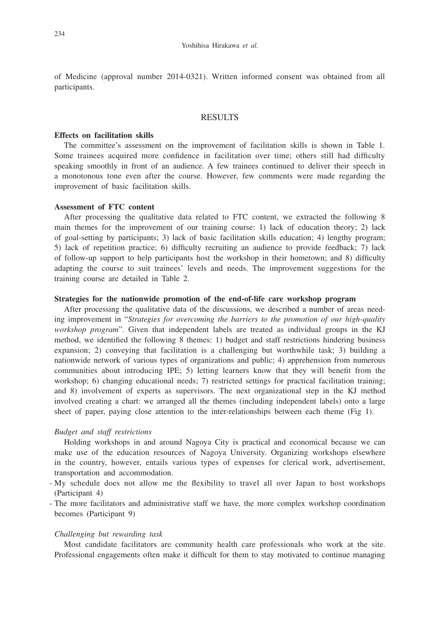of Medicine (approval number 2014-0321). Written informed consent was obtained from all participants.

## RESULTS

## **Effects on facilitation skills**

The committee's assessment on the improvement of facilitation skills is shown in Table 1. Some trainees acquired more confidence in facilitation over time; others still had difficulty speaking smoothly in front of an audience. A few trainees continued to deliver their speech in a monotonous tone even after the course. However, few comments were made regarding the improvement of basic facilitation skills.

## **Assessment of FTC content**

After processing the qualitative data related to FTC content, we extracted the following 8 main themes for the improvement of our training course: 1) lack of education theory; 2) lack of goal-setting by participants; 3) lack of basic facilitation skills education; 4) lengthy program; 5) lack of repetition practice; 6) difficulty recruiting an audience to provide feedback; 7) lack of follow-up support to help participants host the workshop in their hometown; and 8) difficulty adapting the course to suit trainees' levels and needs. The improvement suggestions for the training course are detailed in Table 2.

## **Strategies for the nationwide promotion of the end-of-life care workshop program**

After processing the qualitative data of the discussions, we described a number of areas needing improvement in "*Strategies for overcoming the barriers to the promotion of our high-quality workshop program*". Given that independent labels are treated as individual groups in the KJ method, we identified the following 8 themes: 1) budget and staff restrictions hindering business expansion; 2) conveying that facilitation is a challenging but worthwhile task; 3) building a nationwide network of various types of organizations and public; 4) apprehension from numerous communities about introducing IPE; 5) letting learners know that they will benefit from the workshop; 6) changing educational needs; 7) restricted settings for practical facilitation training; and 8) involvement of experts as supervisors. The next organizational step in the KJ method involved creating a chart: we arranged all the themes (including independent labels) onto a large sheet of paper, paying close attention to the inter-relationships between each theme (Fig 1).

## *Budget and staff restrictions*

Holding workshops in and around Nagoya City is practical and economical because we can make use of the education resources of Nagoya University. Organizing workshops elsewhere in the country, however, entails various types of expenses for clerical work, advertisement, transportation and accommodation.

- My schedule does not allow me the flexibility to travel all over Japan to host workshops (Participant 4)
- The more facilitators and administrative staff we have, the more complex workshop coordination becomes (Participant 9)

#### *Challenging but rewarding task*

Most candidate facilitators are community health care professionals who work at the site. Professional engagements often make it difficult for them to stay motivated to continue managing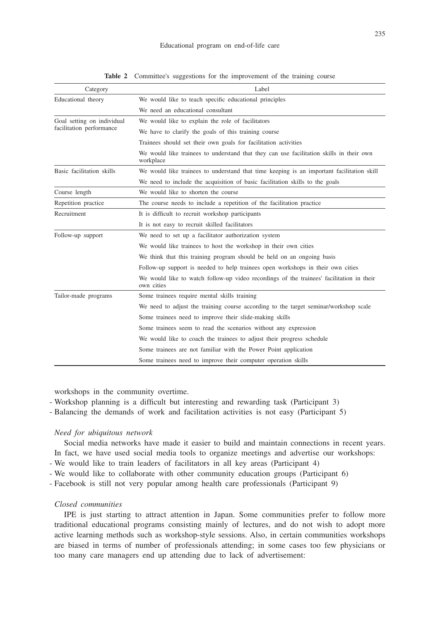| Category                   | Label                                                                                                  |  |  |  |  |
|----------------------------|--------------------------------------------------------------------------------------------------------|--|--|--|--|
| Educational theory         | We would like to teach specific educational principles                                                 |  |  |  |  |
|                            | We need an educational consultant                                                                      |  |  |  |  |
| Goal setting on individual | We would like to explain the role of facilitators                                                      |  |  |  |  |
| facilitation performance   | We have to clarify the goals of this training course                                                   |  |  |  |  |
|                            | Trainees should set their own goals for facilitation activities                                        |  |  |  |  |
|                            | We would like trainees to understand that they can use facilitation skills in their own<br>workplace   |  |  |  |  |
| Basic facilitation skills  | We would like trainees to understand that time keeping is an important facilitation skill              |  |  |  |  |
|                            | We need to include the acquisition of basic facilitation skills to the goals                           |  |  |  |  |
| Course length              | We would like to shorten the course                                                                    |  |  |  |  |
| Repetition practice        | The course needs to include a repetition of the facilitation practice                                  |  |  |  |  |
| Recruitment                | It is difficult to recruit workshop participants                                                       |  |  |  |  |
|                            | It is not easy to recruit skilled facilitators                                                         |  |  |  |  |
| Follow-up support          | We need to set up a facilitator authorization system                                                   |  |  |  |  |
|                            | We would like trainees to host the workshop in their own cities                                        |  |  |  |  |
|                            | We think that this training program should be held on an ongoing basis                                 |  |  |  |  |
|                            | Follow-up support is needed to help trainees open workshops in their own cities                        |  |  |  |  |
|                            | We would like to watch follow-up video recordings of the trainees' facilitation in their<br>own cities |  |  |  |  |
| Tailor-made programs       | Some trainees require mental skills training                                                           |  |  |  |  |
|                            | We need to adjust the training course according to the target seminar/workshop scale                   |  |  |  |  |
|                            | Some trainees need to improve their slide-making skills                                                |  |  |  |  |
|                            | Some trainees seem to read the scenarios without any expression                                        |  |  |  |  |
|                            | We would like to coach the trainees to adjust their progress schedule                                  |  |  |  |  |
|                            | Some trainees are not familiar with the Power Point application                                        |  |  |  |  |
|                            | Some trainees need to improve their computer operation skills                                          |  |  |  |  |

**Table 2** Committee's suggestions for the improvement of the training course

workshops in the community overtime.

- Workshop planning is a difficult but interesting and rewarding task (Participant 3)
- Balancing the demands of work and facilitation activities is not easy (Participant 5)

#### *Need for ubiquitous network*

Social media networks have made it easier to build and maintain connections in recent years. In fact, we have used social media tools to organize meetings and advertise our workshops:

- We would like to train leaders of facilitators in all key areas (Participant 4)
- We would like to collaborate with other community education groups (Participant 6) -
- Facebook is still not very popular among health care professionals (Participant 9) -

## *Closed communities*

IPE is just starting to attract attention in Japan. Some communities prefer to follow more traditional educational programs consisting mainly of lectures, and do not wish to adopt more active learning methods such as workshop-style sessions. Also, in certain communities workshops are biased in terms of number of professionals attending; in some cases too few physicians or too many care managers end up attending due to lack of advertisement: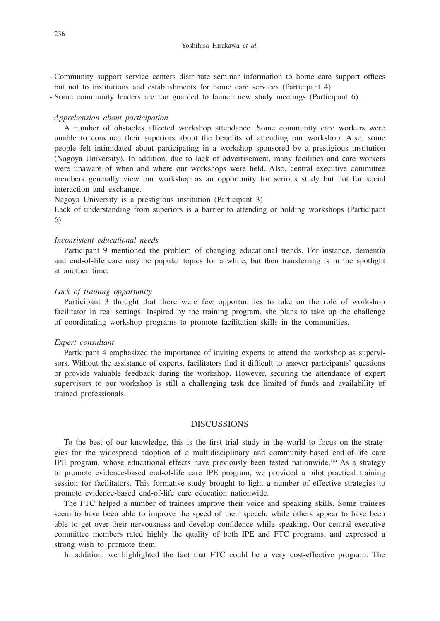- Community support service centers distribute seminar information to home care support offices but not to institutions and establishments for home care services (Participant 4)
- Some community leaders are too guarded to launch new study meetings (Participant 6)

#### *Apprehension about participation*

A number of obstacles affected workshop attendance. Some community care workers were unable to convince their superiors about the benefits of attending our workshop. Also, some people felt intimidated about participating in a workshop sponsored by a prestigious institution (Nagoya University). In addition, due to lack of advertisement, many facilities and care workers were unaware of when and where our workshops were held. Also, central executive committee members generally view our workshop as an opportunity for serious study but not for social interaction and exchange.

- Nagoya University is a prestigious institution (Participant 3) -
- Lack of understanding from superiors is a barrier to attending or holding workshops (Participant 6)

## *Inconsistent educational needs*

Participant 9 mentioned the problem of changing educational trends. For instance, dementia and end-of-life care may be popular topics for a while, but then transferring is in the spotlight at another time.

#### *Lack of training opportunity*

Participant 3 thought that there were few opportunities to take on the role of workshop facilitator in real settings. Inspired by the training program, she plans to take up the challenge of coordinating workshop programs to promote facilitation skills in the communities.

## *Expert consultant*

Participant 4 emphasized the importance of inviting experts to attend the workshop as supervisors. Without the assistance of experts, facilitators find it difficult to answer participants' questions or provide valuable feedback during the workshop. However, securing the attendance of expert supervisors to our workshop is still a challenging task due limited of funds and availability of trained professionals.

# DISCUSSIONS

To the best of our knowledge, this is the first trial study in the world to focus on the strategies for the widespread adoption of a multidisciplinary and community-based end-of-life care IPE program, whose educational effects have previously been tested nationwide.<sup>14)</sup> As a strategy to promote evidence-based end-of-life care IPE program, we provided a pilot practical training session for facilitators. This formative study brought to light a number of effective strategies to promote evidence-based end-of-life care education nationwide.

The FTC helped a number of trainees improve their voice and speaking skills. Some trainees seem to have been able to improve the speed of their speech, while others appear to have been able to get over their nervousness and develop confidence while speaking. Our central executive committee members rated highly the quality of both IPE and FTC programs, and expressed a strong wish to promote them.

In addition, we highlighted the fact that FTC could be a very cost-effective program. The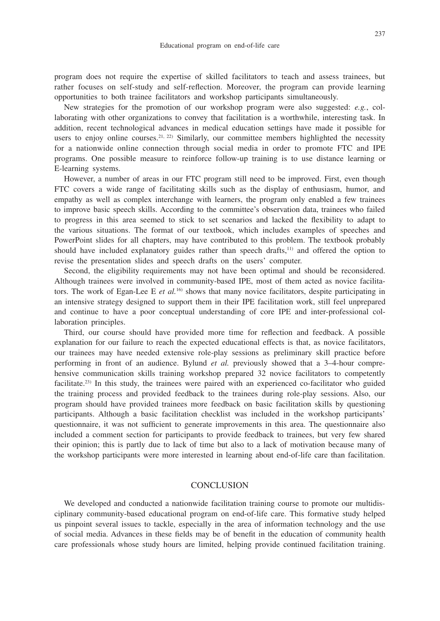program does not require the expertise of skilled facilitators to teach and assess trainees, but rather focuses on self-study and self-reflection. Moreover, the program can provide learning opportunities to both trainee facilitators and workshop participants simultaneously.

New strategies for the promotion of our workshop program were also suggested: *e.g.*, collaborating with other organizations to convey that facilitation is a worthwhile, interesting task. In addition, recent technological advances in medical education settings have made it possible for users to enjoy online courses.<sup>21, 22)</sup> Similarly, our committee members highlighted the necessity for a nationwide online connection through social media in order to promote FTC and IPE programs. One possible measure to reinforce follow-up training is to use distance learning or E-learning systems.

However, a number of areas in our FTC program still need to be improved. First, even though FTC covers a wide range of facilitating skills such as the display of enthusiasm, humor, and empathy as well as complex interchange with learners, the program only enabled a few trainees to improve basic speech skills. According to the committee's observation data, trainees who failed to progress in this area seemed to stick to set scenarios and lacked the flexibility to adapt to the various situations. The format of our textbook, which includes examples of speeches and PowerPoint slides for all chapters, may have contributed to this problem. The textbook probably should have included explanatory guides rather than speech drafts,<sup>11)</sup> and offered the option to revise the presentation slides and speech drafts on the users' computer.

Second, the eligibility requirements may not have been optimal and should be reconsidered. Although trainees were involved in community-based IPE, most of them acted as novice facilitators. The work of Egan-Lee E *et al.*<sup>16)</sup> shows that many novice facilitators, despite participating in an intensive strategy designed to support them in their IPE facilitation work, still feel unprepared and continue to have a poor conceptual understanding of core IPE and inter-professional collaboration principles.

Third, our course should have provided more time for reflection and feedback. A possible explanation for our failure to reach the expected educational effects is that, as novice facilitators, our trainees may have needed extensive role-play sessions as preliminary skill practice before performing in front of an audience. Bylund *et al.* previously showed that a 3–4-hour comprehensive communication skills training workshop prepared 32 novice facilitators to competently facilitate.23) In this study, the trainees were paired with an experienced co-facilitator who guided the training process and provided feedback to the trainees during role-play sessions. Also, our program should have provided trainees more feedback on basic facilitation skills by questioning participants. Although a basic facilitation checklist was included in the workshop participants' questionnaire, it was not sufficient to generate improvements in this area. The questionnaire also included a comment section for participants to provide feedback to trainees, but very few shared their opinion; this is partly due to lack of time but also to a lack of motivation because many of the workshop participants were more interested in learning about end-of-life care than facilitation.

# **CONCLUSION**

We developed and conducted a nationwide facilitation training course to promote our multidisciplinary community-based educational program on end-of-life care. This formative study helped us pinpoint several issues to tackle, especially in the area of information technology and the use of social media. Advances in these fields may be of benefit in the education of community health care professionals whose study hours are limited, helping provide continued facilitation training.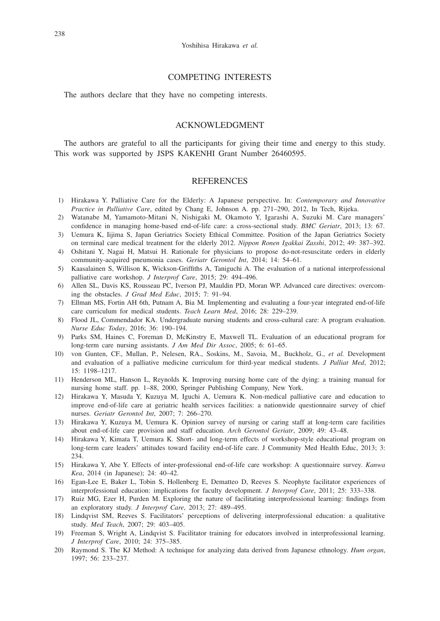## COMPETING INTERESTS

The authors declare that they have no competing interests.

# ACKNOWLEDGMENT

The authors are grateful to all the participants for giving their time and energy to this study. This work was supported by JSPS KAKENHI Grant Number 26460595.

## **REFERENCES**

- 1) Hirakawa Y. Palliative Care for the Elderly: A Japanese perspective. In: *Contemporary and Innovative Practice in Palliative Care*, edited by Chang E, Johnson A. pp. 271–290, 2012, In Tech, Rijeka.
- 2) Watanabe M, Yamamoto-Mitani N, Nishigaki M, Okamoto Y, Igarashi A, Suzuki M. Care managers' confidence in managing home-based end-of-life care: a cross-sectional study. *BMC Geriatr*, 2013; 13: 67.
- 3) Uemura K, Iijima S, Japan Geriatrics Society Ethical Committee. Position of the Japan Geriatrics Society on terminal care medical treatment for the elderly 2012. *Nippon Ronen Igakkai Zasshi*, 2012; 49: 387–392.
- 4) Oshitani Y, Nagai H, Matsui H. Rationale for physicians to propose do-not-resuscitate orders in elderly community-acquired pneumonia cases. *Geriatr Gerontol Int*, 2014; 14: 54–61.
- 5) Kaasalainen S, Willison K, Wickson-Griffiths A, Taniguchi A. The evaluation of a national interprofessional palliative care workshop. *J Interprof Care*, 2015; 29: 494–496.
- 6) Allen SL, Davis KS, Rousseau PC, Iverson PJ, Mauldin PD, Moran WP. Advanced care directives: overcoming the obstacles. *J Grad Med Educ*, 2015; 7: 91–94.
- 7) Ellman MS, Fortin AH 6th, Putnam A, Bia M. Implementing and evaluating a four-year integrated end-of-life care curriculum for medical students. *Teach Learn Med*, 2016; 28: 229–239.
- 8) Flood JL, Commendador KA. Undergraduate nursing students and cross-cultural care: A program evaluation. *Nurse Educ Today*, 2016; 36: 190–194.
- 9) Parks SM, Haines C, Foreman D, McKinstry E, Maxwell TL. Evaluation of an educational program for long-term care nursing assistants. *J Am Med Dir Assoc*, 2005; 6: 61–65.
- 10) von Gunten, CF., Mullan, P., Nelesen, RA., Soskins, M., Savoia, M., Buckholz, G., *et al.* Development and evaluation of a palliative medicine curriculum for third-year medical students. *J Palliat Med*, 2012; 15: 1198–1217.
- 11) Henderson ML, Hanson L, Reynolds K. Improving nursing home care of the dying: a training manual for nursing home staff. pp. 1–88, 2000, Springer Publishing Company, New York.
- 12) Hirakawa Y, Masuda Y, Kuzuya M, Iguchi A, Uemura K. Non-medical palliative care and education to improve end-of-life care at geriatric health services facilities: a nationwide questionnaire survey of chief nurses. *Geriatr Gerontol Int*, 2007; 7: 266–270.
- 13) Hirakawa Y, Kuzuya M, Uemura K. Opinion survey of nursing or caring staff at long-term care facilities about end-of-life care provision and staff education. *Arch Gerontol Geriatr*, 2009; 49: 43–48.
- 14) Hirakawa Y, Kimata T, Uemura K. Short- and long-term effects of workshop-style educational program on long-term care leaders' attitudes toward facility end-of-life care. J Community Med Health Educ, 2013; 3: 234.
- 15) Hirakawa Y, Abe Y. Effects of inter-professional end-of-life care workshop: A questionnaire survey. *Kanwa Kea*, 2014 (in Japanese); 24: 40–42.
- 16) Egan-Lee E, Baker L, Tobin S, Hollenberg E, Dematteo D, Reeves S. Neophyte facilitator experiences of interprofessional education: implications for faculty development. *J Interprof Care*, 2011; 25: 333–338.
- 17) Ruiz MG, Ezer H, Purden M. Exploring the nature of facilitating interprofessional learning: findings from an exploratory study. *J Interprof Care*, 2013; 27: 489–495.
- 18) Lindqvist SM, Reeves S. Facilitators' perceptions of delivering interprofessional education: a qualitative study. *Med Teach*, 2007; 29: 403–405.
- 19) Freeman S, Wright A, Lindqvist S. Facilitator training for educators involved in interprofessional learning. *J Interprof Care*, 2010; 24: 375–385.
- 20) Raymond S. The KJ Method: A technique for analyzing data derived from Japanese ethnology. *Hum organ*, 1997; 56: 233–237.